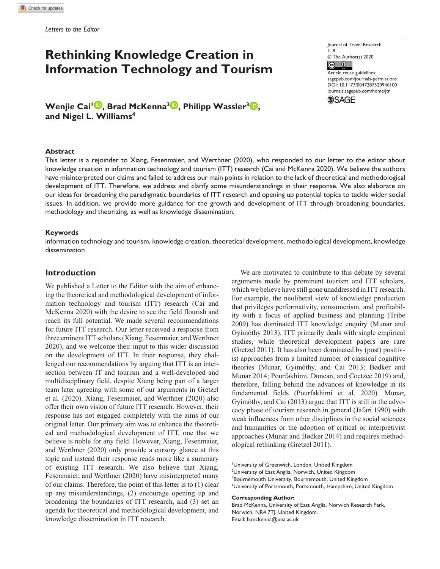# **Rethinking Knowledge Creation in Information Technology and Tourism**

**Wenjie Cai<sup>1</sup><sup>O</sup>, Brad McKenna<sup>2</sup><sup>O</sup>, Philipp Wassler<sup>3</sup><sup>O</sup>, and Nigel L. Williams4**

#### **Abstract**

Journal of Travel Research 1–8 © The Author(s) 2020  $\circledcirc$ Article reuse guidelines: [sagepub.com/journals-permissions](https://us.sagepub.com/en-us/journals-permissions) https://doi.org/10.1177/0047287520946100 DOI: 10.1177/0047287520946100 [journals.sagepub.com/home/jtr](https://journals.sagepub.com/home/jtr) **SSAGE** 

This letter is a rejoinder to Xiang, Fesenmaier, and Werthner (2020), who responded to our letter to the editor about knowledge creation in information technology and tourism (ITT) research (Cai and McKenna 2020). We believe the authors have misinterpreted our claims and failed to address our main points in relation to the lack of theoretical and methodological development of ITT. Therefore, we address and clarify some misunderstandings in their response. We also elaborate on our ideas for broadening the paradigmatic boundaries of ITT research and opening up potential topics to tackle wider social issues. In addition, we provide more guidance for the growth and development of ITT through broadening boundaries, methodology and theorizing, as well as knowledge dissemination.

#### **Keywords**

information technology and tourism, knowledge creation, theoretical development, methodological development, knowledge dissemination

#### **Introduction**

We published a Letter to the Editor with the aim of enhancing the theoretical and methodological development of information technology and tourism (ITT) research (Cai and McKenna 2020) with the desire to see the field flourish and reach its full potential. We made several recommendations for future ITT research. Our letter received a response from three eminent ITT scholars (Xiang, Fesenmaier, and Werthner 2020), and we welcome their input to this wider discussion on the development of ITT. In their response, they challenged our recommendations by arguing that ITT is an intersection between IT and tourism and a well-developed and multidisciplinary field, despite Xiang being part of a larger team later agreeing with some of our arguments in Gretzel et al. (2020). Xiang, Fesenmaier, and Werthner (2020) also offer their own vision of future ITT research. However, their response has not engaged completely with the aims of our original letter. Our primary aim was to enhance the theoretical and methodological development of ITT, one that we believe is noble for any field. However, Xiang, Fesenmaier, and Werthner (2020) only provide a cursory glance at this topic and instead their response reads more like a summary of existing ITT research. We also believe that Xiang, Fesenmaier, and Werthner (2020) have misinterpreted many of our claims. Therefore, the point of this letter is to (1) clear up any misunderstandings, (2) encourage opening up and broadening the boundaries of ITT research, and (3) set an agenda for theoretical and methodological development, and knowledge dissemination in ITT research.

We are motivated to contribute to this debate by several arguments made by prominent tourism and ITT scholars, which we believe have still gone unaddressed in ITT research. For example, the neoliberal view of knowledge production that privileges performativity, consumerism, and profitability with a focus of applied business and planning (Tribe 2009) has dominated ITT knowledge enquiry (Munar and Gyimóthy 2013). ITT primarily deals with single empirical studies, while theoretical development papers are rare (Gretzel 2011). It has also been dominated by (post) positivist approaches from a limited number of classical cognitive theories (Munar, Gyimóthy, and Cai 2013; Bødker and Munar 2014; Pourfakhimi, Duncan, and Coetzee 2019) and, therefore, falling behind the advances of knowledge in its fundamental fields (Pourfakhimi et al. 2020). Munar, Gyimóthy, and Cai (2013) argue that ITT is still in the advocacy phase of tourism research in general (Jafari 1990) with weak influences from other disciplines in the social sciences and humanities or the adoption of critical or interpretivist approaches (Munar and Bødker 2014) and requires methodological rethinking (Gretzel 2011).

**Corresponding Author:**

Brad McKenna, University of East Anglia, Norwich Research Park, Norwich, NR4 7TJ, United Kingdom. Email: [b.mckenna@uea.ac.uk](mailto:b.mckenna@uea.ac.uk)

<sup>&</sup>lt;sup>1</sup>University of Greenwich, London, United Kingdom <sup>2</sup>University of East Anglia, Norwich, United Kingdom <sup>3</sup>Bournemouth University, Bournemouth, United Kingdom 4 University of Portsmouth, Portsmouth, Hampshire, United Kingdom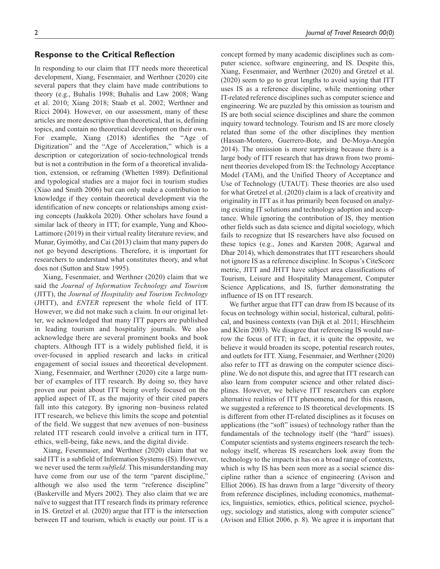# **Response to the Critical Reflection**

In responding to our claim that ITT needs more theoretical development, Xiang, Fesenmaier, and Werthner (2020) cite several papers that they claim have made contributions to theory (e.g., Buhalis 1998; Buhalis and Law 2008; Wang et al. 2010; Xiang 2018; Staab et al. 2002; Werthner and Ricci 2004). However, on our assessment, many of these articles are more descriptive than theoretical, that is, defining topics, and contain no theoretical development on their own. For example, Xiang (2018) identifies the "Age of Digitization" and the "Age of Acceleration," which is a description or categorization of socio-technological trends but is not a contribution in the form of a theoretical invalidation, extension, or reframing (Whetten 1989). Definitional and typological studies are a major foci in tourism studies (Xiao and Smith 2006) but can only make a contribution to knowledge if they contain theoretical development via the identification of new concepts or relationships among existing concepts (Jaakkola 2020). Other scholars have found a similar lack of theory in ITT; for example, Yung and Khoo-Lattimore (2019) in their virtual reality literature review, and Munar, Gyimóthy, and Cai (2013) claim that many papers do not go beyond descriptions. Therefore, it is important for researchers to understand what constitutes theory, and what does not (Sutton and Staw 1995).

Xiang, Fesenmaier, and Werthner (2020) claim that we said the *Journal of Information Technology and Tourism* (JITT), the *Journal of Hospitality and Tourism Technology* (JHTT), and *ENTER* represent the whole field of ITT. However, we did not make such a claim. In our original letter, we acknowledged that many ITT papers are published in leading tourism and hospitality journals. We also acknowledge there are several prominent books and book chapters. Although ITT is a widely published field, it is over-focused in applied research and lacks in critical engagement of social issues and theoretical development. Xiang, Fesenmaier, and Werthner (2020) cite a large number of examples of ITT research. By doing so, they have proven our point about ITT being overly focused on the applied aspect of IT, as the majority of their cited papers fall into this category. By ignoring non–business related ITT research, we believe this limits the scope and potential of the field. We suggest that new avenues of non–business related ITT research could involve a critical turn in ITT, ethics, well-being, fake news, and the digital divide.

Xiang, Fesenmaier, and Werthner (2020) claim that we said ITT is a subfield of Information Systems (IS). However, we never used the term *subfield*. This misunderstanding may have come from our use of the term "parent discipline," although we also used the term "reference discipline" (Baskerville and Myers 2002). They also claim that we are naïve to suggest that ITT research finds its primary reference in IS. Gretzel et al. (2020) argue that ITT is the intersection between IT and tourism, which is exactly our point. IT is a

concept formed by many academic disciplines such as computer science, software engineering, and IS. Despite this, Xiang, Fesenmaier, and Werthner (2020) and Gretzel et al. (2020) seem to go to great lengths to avoid saying that ITT uses IS as a reference discipline, while mentioning other IT-related reference disciplines such as computer science and engineering. We are puzzled by this omission as tourism and IS are both social science disciplines and share the common inquiry toward technology. Tourism and IS are more closely related than some of the other disciplines they mention (Hassan-Montero, Guerrero-Bote, and De-Moya-Anegón 2014). The omission is more surprising because there is a large body of ITT research that has drawn from two prominent theories developed from IS: the Technology Acceptance Model (TAM), and the Unified Theory of Acceptance and Use of Technology (UTAUT). These theories are also used for what Gretzel et al. (2020) claim is a lack of creativity and originality in ITT as it has primarily been focused on analyzing existing IT solutions and technology adoption and acceptance. While ignoring the contribution of IS, they mention other fields such as data science and digital sociology, which fails to recognize that IS researchers have also focused on these topics (e.g., Jones and Karsten 2008; Agarwal and Dhar 2014), which demonstrates that ITT researchers should not ignore IS as a reference discipline. In Scopus's CiteScore metric, JITT and JHTT have subject area classifications of Tourism, Leisure and Hospitality Management, Computer Science Applications, and IS, further demonstrating the influence of IS on ITT research.

We further argue that ITT can draw from IS because of its focus on technology within social, historical, cultural, political, and business contexts (van Dijk et al. 2011; Hirschheim and Klein 2003). We disagree that referencing IS would narrow the focus of ITT; in fact, it is quite the opposite, we believe it would broaden its scope, potential research routes, and outlets for ITT. Xiang, Fesenmaier, and Werthner (2020) also refer to ITT as drawing on the computer science discipline. We do not dispute this, and agree that ITT research can also learn from computer science and other related disciplines. However, we believe ITT researchers can explore alternative realities of ITT phenomena, and for this reason, we suggested a reference to IS theoretical developments. IS is different from other IT-related disciplines as it focuses on applications (the "soft" issues) of technology rather than the fundamentals of the technology itself (the "hard" issues). Computer scientists and systems engineers research the technology itself, whereas IS researchers look away from the technology to the impacts it has on a broad range of contexts, which is why IS has been seen more as a social science discipline rather than a science of engineering (Avison and Elliot 2006). IS has drawn from a large "diversity of theory from reference disciplines, including economics, mathematics, linguistics, semiotics, ethics, political science, psychology, sociology and statistics, along with computer science" (Avison and Elliot 2006, p. 8). We agree it is important that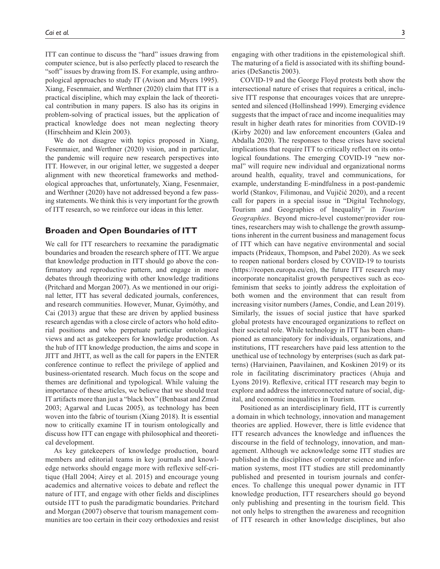ITT can continue to discuss the "hard" issues drawing from computer science, but is also perfectly placed to research the "soft" issues by drawing from IS. For example, using anthropological approaches to study IT (Avison and Myers 1995). Xiang, Fesenmaier, and Werthner (2020) claim that ITT is a practical discipline, which may explain the lack of theoretical contribution in many papers. IS also has its origins in problem-solving of practical issues, but the application of practical knowledge does not mean neglecting theory (Hirschheim and Klein 2003).

We do not disagree with topics proposed in Xiang, Fesenmaier, and Werthner (2020) vision, and in particular, the pandemic will require new research perspectives into ITT. However, in our original letter, we suggested a deeper alignment with new theoretical frameworks and methodological approaches that, unfortunately, Xiang, Fesenmaier, and Werthner (2020) have not addressed beyond a few passing statements. We think this is very important for the growth of ITT research, so we reinforce our ideas in this letter.

## **Broaden and Open Boundaries of ITT**

We call for ITT researchers to reexamine the paradigmatic boundaries and broaden the research sphere of ITT. We argue that knowledge production in ITT should go above the confirmatory and reproductive pattern, and engage in more debates through theorizing with other knowledge traditions (Pritchard and Morgan 2007). As we mentioned in our original letter, ITT has several dedicated journals, conferences, and research communities. However, Munar, Gyimóthy, and Cai (2013) argue that these are driven by applied business research agendas with a close circle of actors who hold editorial positions and who perpetuate particular ontological views and act as gatekeepers for knowledge production. As the hub of ITT knowledge production, the aims and scope in JITT and JHTT, as well as the call for papers in the ENTER conference continue to reflect the privilege of applied and business-orientated research. Much focus on the scope and themes are definitional and typological. While valuing the importance of these articles, we believe that we should treat IT artifacts more than just a "black box" (Benbasat and Zmud 2003; Agarwal and Lucas 2005), as technology has been woven into the fabric of tourism (Xiang 2018). It is essential now to critically examine IT in tourism ontologically and discuss how ITT can engage with philosophical and theoretical development.

As key gatekeepers of knowledge production, board members and editorial teams in key journals and knowledge networks should engage more with reflexive self-critique (Hall 2004; Airey et al. 2015) and encourage young academics and alternative voices to debate and reflect the nature of ITT, and engage with other fields and disciplines outside ITT to push the paradigmatic boundaries. Pritchard and Morgan (2007) observe that tourism management communities are too certain in their cozy orthodoxies and resist

engaging with other traditions in the epistemological shift. The maturing of a field is associated with its shifting boundaries (DeSanctis 2003).

COVID-19 and the George Floyd protests both show the intersectional nature of crises that requires a critical, inclusive ITT response that encourages voices that are unrepresented and silenced (Hollinshead 1999). Emerging evidence suggests that the impact of race and income inequalities may result in higher death rates for minorities from COVID-19 (Kirby 2020) and law enforcement encounters (Galea and Abdalla 2020). The responses to these crises have societal implications that require ITT to critically reflect on its ontological foundations. The emerging COVID-19 "new normal" will require new individual and organizational norms around health, equality, travel and communications, for example, understanding E-mindfulness in a post-pandemic world (Stankov, Filimonau, and Vujičić 2020), and a recent call for papers in a special issue in "Digital Technology, Tourism and Geographies of Inequality" in *Tourism Geographies*. Beyond micro-level customer/provider routines, researchers may wish to challenge the growth assumptions inherent in the current business and management focus of ITT which can have negative environmental and social impacts (Prideaux, Thompson, and Pabel 2020). As we seek to reopen national borders closed by COVID-19 to tourists (<https://reopen.europa.eu/en>), the future ITT research may incorporate noncapitalist growth perspectives such as ecofeminism that seeks to jointly address the exploitation of both women and the environment that can result from increasing visitor numbers (James, Condie, and Lean 2019). Similarly, the issues of social justice that have sparked global protests have encouraged organizations to reflect on their societal role. While technology in ITT has been championed as emancipatory for individuals, organizations, and institutions, ITT researchers have paid less attention to the unethical use of technology by enterprises (such as dark patterns) (Harviainen, Paavilainen, and Koskinen 2019) or its role in facilitating discriminatory practices (Ahuja and Lyons 2019). Reflexive, critical ITT research may begin to explore and address the interconnected nature of social, digital, and economic inequalities in Tourism.

Positioned as an interdisciplinary field, ITT is currently a domain in which technology, innovation and management theories are applied. However, there is little evidence that ITT research advances the knowledge and influences the discourse in the field of technology, innovation, and management. Although we acknowledge some ITT studies are published in the disciplines of computer science and information systems, most ITT studies are still predominantly published and presented in tourism journals and conferences. To challenge this unequal power dynamic in ITT knowledge production, ITT researchers should go beyond only publishing and presenting in the tourism field. This not only helps to strengthen the awareness and recognition of ITT research in other knowledge disciplines, but also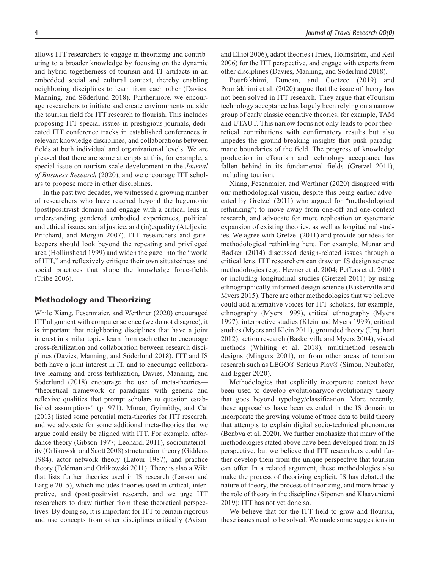allows ITT researchers to engage in theorizing and contributing to a broader knowledge by focusing on the dynamic and hybrid togetherness of tourism and IT artifacts in an embedded social and cultural context, thereby enabling neighboring disciplines to learn from each other (Davies, Manning, and Söderlund 2018). Furthermore, we encourage researchers to initiate and create environments outside the tourism field for ITT research to flourish. This includes proposing ITT special issues in prestigious journals, dedicated ITT conference tracks in established conferences in relevant knowledge disciplines, and collaborations between fields at both individual and organizational levels. We are pleased that there are some attempts at this, for example, a special issue on tourism scale development in the *Journal of Business Research* (2020), and we encourage ITT scholars to propose more in other disciplines.

In the past two decades, we witnessed a growing number of researchers who have reached beyond the hegemonic (post)positivist domain and engage with a critical lens in understanding gendered embodied experiences, political and ethical issues, social justice, and (in)equality (Ateljevic, Pritchard, and Morgan 2007). ITT researchers and gatekeepers should look beyond the repeating and privileged area (Hollinshead 1999) and widen the gaze into the "world of ITT," and reflexively critique their own situatedness and social practices that shape the knowledge force-fields (Tribe 2006).

# **Methodology and Theorizing**

While Xiang, Fesenmaier, and Werthner (2020) encouraged ITT alignment with computer science (we do not disagree), it is important that neighboring disciplines that have a joint interest in similar topics learn from each other to encourage cross-fertilization and collaboration between research disciplines (Davies, Manning, and Söderlund 2018). ITT and IS both have a joint interest in IT, and to encourage collaborative learning and cross-fertilization, Davies, Manning, and Söderlund (2018) encourage the use of meta-theories— "theoretical framework or paradigms with generic and reflexive qualities that prompt scholars to question established assumptions" (p. 971). Munar, Gyimóthy, and Cai (2013) listed some potential meta-theories for ITT research, and we advocate for some additional meta-theories that we argue could easily be aligned with ITT. For example, affordance theory (Gibson 1977; Leonardi 2011), sociomateriality (Orlikowski and Scott 2008) structuration theory (Giddens 1984), actor–network theory (Latour 1987), and practice theory (Feldman and Orlikowski 2011). There is also a Wiki that lists further theories used in IS research (Larson and Eargle 2015), which includes theories used in critical, interpretive, and (post)positivist research, and we urge ITT researchers to draw further from these theoretical perspectives. By doing so, it is important for ITT to remain rigorous and use concepts from other disciplines critically (Avison

and Elliot 2006), adapt theories (Truex, Holmström, and Keil 2006) for the ITT perspective, and engage with experts from other disciplines (Davies, Manning, and Söderlund 2018).

Pourfakhimi, Duncan, and Coetzee (2019) and Pourfakhimi et al. (2020) argue that the issue of theory has not been solved in ITT research. They argue that eTourism technology acceptance has largely been relying on a narrow group of early classic cognitive theories, for example, TAM and UTAUT. This narrow focus not only leads to poor theoretical contributions with confirmatory results but also impedes the ground-breaking insights that push paradigmatic boundaries of the field. The progress of knowledge production in eTourism and technology acceptance has fallen behind in its fundamental fields (Gretzel 2011), including tourism.

Xiang, Fesenmaier, and Werthner (2020) disagreed with our methodological vision, despite this being earlier advocated by Gretzel (2011) who argued for "methodological rethinking"; to move away from one-off and one-context research, and advocate for more replication or systematic expansion of existing theories, as well as longitudinal studies. We agree with Gretzel (2011) and provide our ideas for methodological rethinking here. For example, Munar and Bødker (2014) discussed design-related issues through a critical lens. ITT researchers can draw on IS design science methodologies (e.g., Hevner et al. 2004; Peffers et al. 2008) or including longitudinal studies (Gretzel 2011) by using ethnographically informed design science (Baskerville and Myers 2015). There are other methodologies that we believe could add alternative voices for ITT scholars, for example, ethnography (Myers 1999), critical ethnography (Myers 1997), interpretive studies (Klein and Myers 1999), critical studies (Myers and Klein 2011), grounded theory (Urquhart 2012), action research (Baskerville and Myers 2004), visual methods (Whiting et al. 2018), multimethod research designs (Mingers 2001), or from other areas of tourism research such as LEGO® Serious Play® (Simon, Neuhofer, and Egger 2020).

Methodologies that explicitly incorporate context have been used to develop evolutionary/co-evolutionary theory that goes beyond typology/classification. More recently, these approaches have been extended in the IS domain to incorporate the growing volume of trace data to build theory that attempts to explain digital socio-technical phenomena (Benbya et al. 2020). We further emphasize that many of the methodologies stated above have been developed from an IS perspective, but we believe that ITT researchers could further develop them from the unique perspective that tourism can offer. In a related argument, these methodologies also make the process of theorizing explicit. IS has debated the nature of theory, the process of theorizing, and more broadly the role of theory in the discipline (Siponen and Klaavuniemi 2019); ITT has not yet done so.

We believe that for the ITT field to grow and flourish, these issues need to be solved. We made some suggestions in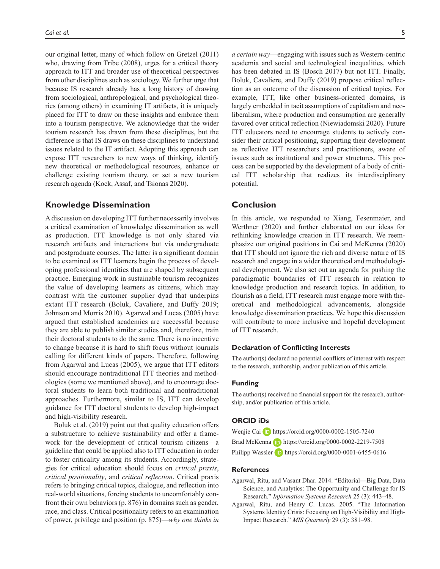our original letter, many of which follow on Gretzel (2011) who, drawing from Tribe (2008), urges for a critical theory approach to ITT and broader use of theoretical perspectives from other disciplines such as sociology. We further urge that because IS research already has a long history of drawing from sociological, anthropological, and psychological theories (among others) in examining IT artifacts, it is uniquely placed for ITT to draw on these insights and embrace them into a tourism perspective. We acknowledge that the wider tourism research has drawn from these disciplines, but the difference is that IS draws on these disciplines to understand issues related to the IT artifact. Adopting this approach can expose ITT researchers to new ways of thinking, identify new theoretical or methodological resources, enhance or challenge existing tourism theory, or set a new tourism research agenda (Kock, Assaf, and Tsionas 2020).

### **Knowledge Dissemination**

A discussion on developing ITT further necessarily involves a critical examination of knowledge dissemination as well as production. ITT knowledge is not only shared via research artifacts and interactions but via undergraduate and postgraduate courses. The latter is a significant domain to be examined as ITT learners begin the process of developing professional identities that are shaped by subsequent practice. Emerging work in sustainable tourism recognizes the value of developing learners as citizens, which may contrast with the customer–supplier dyad that underpins extant ITT research (Boluk, Cavaliere, and Duffy 2019; Johnson and Morris 2010). Agarwal and Lucas (2005) have argued that established academics are successful because they are able to publish similar studies and, therefore, train their doctoral students to do the same. There is no incentive to change because it is hard to shift focus without journals calling for different kinds of papers. Therefore, following from Agarwal and Lucas (2005), we argue that ITT editors should encourage nontraditional ITT theories and methodologies (some we mentioned above), and to encourage doctoral students to learn both traditional and nontraditional approaches. Furthermore, similar to IS, ITT can develop guidance for ITT doctoral students to develop high-impact and high-visibility research.

Boluk et al. (2019) point out that quality education offers a substructure to achieve sustainability and offer a framework for the development of critical tourism citizens—a guideline that could be applied also to ITT education in order to foster criticality among its students. Accordingly, strategies for critical education should focus on *critical praxis*, *critical positionality*, and *critical reflection*. Critical praxis refers to bringing critical topics, dialogue, and reflection into real-world situations, forcing students to uncomfortably confront their own behaviors (p. 876) in domains such as gender, race, and class. Critical positionality refers to an examination of power, privilege and position (p. 875)—*why one thinks in*  *a certain way*—engaging with issues such as Western-centric academia and social and technological inequalities, which has been debated in IS (Bosch 2017) but not ITT. Finally, Boluk, Cavaliere, and Duffy (2019) propose critical reflection as an outcome of the discussion of critical topics. For example, ITT, like other business-oriented domains, is largely embedded in tacit assumptions of capitalism and neoliberalism, where production and consumption are generally favored over critical reflection (Niewiadomski 2020). Future ITT educators need to encourage students to actively consider their critical positioning, supporting their development as reflective ITT researchers and practitioners, aware of issues such as institutional and power structures. This process can be supported by the development of a body of critical ITT scholarship that realizes its interdisciplinary potential.

### **Conclusion**

In this article, we responded to Xiang, Fesenmaier, and Werthner (2020) and further elaborated on our ideas for rethinking knowledge creation in ITT research. We reemphasize our original positions in Cai and McKenna (2020) that ITT should not ignore the rich and diverse nature of IS research and engage in a wider theoretical and methodological development. We also set out an agenda for pushing the paradigmatic boundaries of ITT research in relation to knowledge production and research topics. In addition, to flourish as a field, ITT research must engage more with theoretical and methodological advancements, alongside knowledge dissemination practices. We hope this discussion will contribute to more inclusive and hopeful development of ITT research.

#### **Declaration of Conflicting Interests**

The author(s) declared no potential conflicts of interest with respect to the research, authorship, and/or publication of this article.

#### **Funding**

The author(s) received no financial support for the research, authorship, and/or publication of this article.

#### **ORCID iDs**

Wenjie Cai **D** <https://orcid.org/0000-0002-1505-7240> Brad McKenna **<https://orcid.org/0000-0002-2219-7508>** Philipp Wassler **D** <https://orcid.org/0000-0001-6455-0616>

#### **References**

- Agarwal, Ritu, and Vasant Dhar. 2014. "Editorial—Big Data, Data Science, and Analytics: The Opportunity and Challenge for IS Research." *Information Systems Research* 25 (3): 443–48.
- Agarwal, Ritu, and Henry C. Lucas. 2005. "The Information Systems Identity Crisis: Focusing on High-Visibility and High-Impact Research." *MIS Quarterly* 29 (3): 381–98.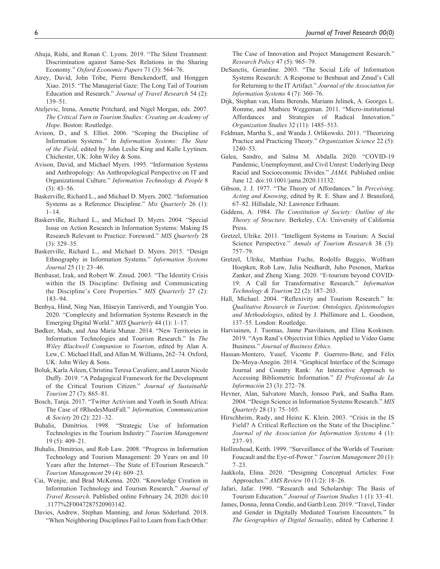- Ahuja, Rishi, and Ronan C. Lyons. 2019. "The Silent Treatment: Discrimination against Same-Sex Relations in the Sharing Economy." *Oxford Economic Papers* 71 (3): 564–76.
- Airey, David, John Tribe, Pierre Benckendorff, and Honggen Xiao. 2015. "The Managerial Gaze: The Long Tail of Tourism Education and Research." *Journal of Travel Research* 54 (2): 139–51.
- Ateljevic, Irena, Annette Pritchard, and Nigel Morgan, eds. 2007. *The Critical Turn in Tourism Studies: Creating an Academy of Hope*. Boston: Routledge.
- Avison, D., and S. Elliot. 2006. "Scoping the Discipline of Information Systems." In *Information Systems: The State of the Field*, edited by John Leslie King and Kalle Lyytinen. Chichester, UK: John Wiley & Sons.
- Avison, David, and Michael Myers. 1995. "Information Systems and Anthropology: An Anthropological Perspective on IT and Organizational Culture." *Information Technology & People* 8 (3): 43–56.
- Baskerville, Richard L., and Michael D. Myers. 2002. "Information Systems as a Reference Discipline." *Mis Quarterly* 26 (1):  $1 - 14$ .
- Baskerville, Richard L., and Michael D. Myers. 2004. "Special Issue on Action Research in Information Systems: Making IS Research Relevant to Practice: Foreword." *MIS Quarterly* 28 (3): 329–35.
- Baskerville, Richard L., and Michael D. Myers. 2015. "Design Ethnography in Information Systems." *Information Systems Journal* 25 (1): 23–46.
- Benbasat, Izak, and Robert W. Zmud. 2003. "The Identity Crisis within the IS Discipline: Defining and Communicating the Discipline's Core Properties." *MIS Quarterly* 27 (2): 183–94.
- Benbya, Hind, Ning Nan, Hüseyin Tanriverdi, and Youngjin Yoo. 2020. "Complexity and Information Systems Research in the Emerging Digital World." *MIS Quarterly* 44 (1): 1–17.
- Bødker, Mads, and Ana María Munar. 2014. "New Territories in Information Technologies and Tourism Research." In *The Wiley Blackwell Companion to Tourism*, edited by Alan A. Lew, C. Michael Hall, and Allan M. Williams, 262–74. Oxford, UK: John Wiley & Sons.
- Boluk, Karla Aileen, Christina Teresa Cavaliere, and Lauren Nicole Duffy. 2019. "A Pedagogical Framework for the Development of the Critical Tourism Citizen." *Journal of Sustainable Tourism* 27 (7): 865–81.
- Bosch, Tanja. 2017. "Twitter Activism and Youth in South Africa: The Case of #RhodesMustFall." *Information, Communication & Society* 20 (2): 221–32.
- Buhalis, Dimitrios. 1998. "Strategic Use of Information Technologies in the Tourism Industry." *Tourism Management* 19 (5): 409–21.
- Buhalis, Dimitrios, and Rob Law. 2008. "Progress in Information Technology and Tourism Management: 20 Years on and 10 Years after the Internet—The State of ETourism Research." *Tourism Management* 29 (4): 609–23.
- Cai, Wenjie, and Brad McKenna. 2020. "Knowledge Creation in Information Technology and Tourism Research." *Journal of Travel Research*. Published online February 24, 2020. doi:10 .1177%2F0047287520903142.
- Davies, Andrew, Stephan Manning, and Jonas Söderlund. 2018. "When Neighboring Disciplines Fail to Learn from Each Other:

The Case of Innovation and Project Management Research." *Research Policy* 47 (5): 965–79.

- DeSanctis, Gerardine. 2003. "The Social Life of Information Systems Research: A Response to Benbasat and Zmud's Call for Returning to the IT Artifact." *Journal of the Association for Information Systems* 4 (7): 360–76.
- Dijk, Stephan van, Hans Berends, Mariann Jelinek, A. Georges L. Romme, and Mathieu Weggeman. 2011. "Micro-institutional Affordances and Strategies of Radical Innovation." *Organization Studies* 32 (11): 1485–513.
- Feldman, Martha S., and Wanda J. Orlikowski. 2011. "Theorizing Practice and Practicing Theory." *Organization Science* 22 (5): 1240–53.
- Galea, Sandro, and Salma M. Abdalla. 2020. "COVID-19 Pandemic, Unemployment, and Civil Unrest: Underlying Deep Racial and Socioeconomic Divides." *JAMA*. Published online June 12. doi:10.1001/jama.2020.11132.
- Gibson, J. J. 1977. "The Theory of Affordances." In *Perceiving, Acting and Knowing*, edited by R. E. Shaw and J. Bransford, 67–82. Hillsdale, NJ: Lawrence Erlbaum.
- Giddens, A. 1984. *The Constitution of Society: Outline of the Theory of Structure*. Berkeley, CA: University of California Press.
- Gretzel, Ulrike. 2011. "Intelligent Systems in Tourism: A Social Science Perspective." *Annals of Tourism Research* 38 (3): 757–79.
- Gretzel, Ulrike, Matthias Fuchs, Rodolfo Baggio, Wolfram Hoepken, Rob Law, Julia Neidhardt, Juho Pesonen, Markus Zanker, and Zheng Xiang. 2020. "E-tourism beyond COVID-19: A Call for Transformative Research." *Information Technology & Tourism* 22 (2): 187–203.
- Hall, Michael. 2004. "Reflexivity and Tourism Research." In: *Qualitative Research in Tourism: Ontologies, Epistemologies and Methodologies*, edited by J. Phillimore and L. Goodson, 137–55. London: Routledge.
- Harviainen, J. Tuomas, Janne Paavilainen, and Elina Koskinen. 2019. "Ayn Rand's Objectivist Ethics Applied to Video Game Business." *Journal of Business Ethics*.
- Hassan-Montero, Yusef, Vicente P. Guerrero-Bote, and Félix De-Moya-Anegón. 2014. "Graphical Interface of the Scimago Journal and Country Rank: An Interactive Approach to Accessing Bibliometric Information." *El Profesional de La Información* 23 (3): 272–78.
- Hevner, Alan, Salvatore March, Jonsoo Park, and Sudha Ram. 2004. "Design Science in Information Systems Research." *MIS Quarterly* 28 (1): 75–105.
- Hirschheim, Rudy, and Heinz K. Klein. 2003. "Crisis in the IS Field? A Critical Reflection on the State of the Discipline." *Journal of the Association for Information Systems* 4 (1): 237–93.
- Hollinshead, Keith. 1999. "Surveillance of the Worlds of Tourism: Foucault and the Eye-of-Power." *Tourism Management* 20 (1): 7–23.
- Jaakkola, Elina. 2020. "Designing Conceptual Articles: Four Approaches." *AMS Review* 10 (1/2): 18–26.
- Jafari, Jafar. 1990. "Research and Scholarship: The Basis of Tourism Education." *Journal of Tourism Studies* 1 (1): 33–41.
- James, Donna, Jenna Condie, and Garth Lean. 2019. "Travel, Tinder and Gender in Digitally Mediated Tourism Encounters." In *The Geographies of Digital Sexuality*, edited by Catherine J.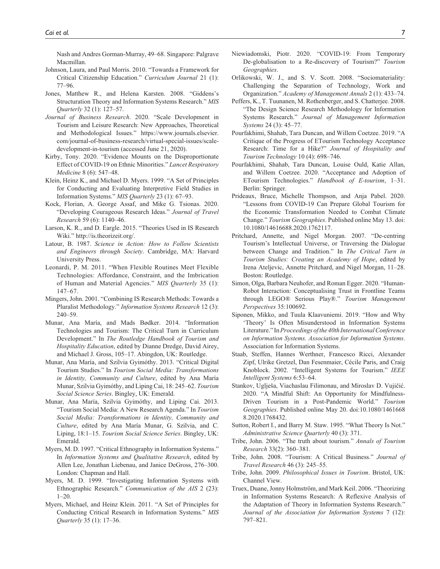Nash and Andres Gorman-Murray, 49–68. Singapore: Palgrave Macmillan.

- Johnson, Laura, and Paul Morris. 2010. "Towards a Framework for Critical Citizenship Education." *Curriculum Journal* 21 (1): 77–96.
- Jones, Matthew R., and Helena Karsten. 2008. "Giddens's Structuration Theory and Information Systems Research." *MIS Quarterly* 32 (1): 127–57.
- *Journal of Business Research*. 2020. "Scale Development in Tourism and Leisure Research: New Approaches, Theoretical and Methodological Issues." [https://www.journals.elsevier.](https://www.journals.elsevier.com/journal-of-business-research/virtual-special-issues/scale-development-in-tourism) [com/journal-of-business-research/virtual-special-issues/scale](https://www.journals.elsevier.com/journal-of-business-research/virtual-special-issues/scale-development-in-tourism)[development-in-tourism](https://www.journals.elsevier.com/journal-of-business-research/virtual-special-issues/scale-development-in-tourism) (accessed June 21, 2020).
- Kirby, Tony. 2020. "Evidence Mounts on the Disproportionate Effect of COVID-19 on Ethnic Minorities." *Lancet Respiratory Medicine* 8 (6): 547–48.
- Klein, Heinz K., and Michael D. Myers. 1999. "A Set of Principles for Conducting and Evaluating Interpretive Field Studies in Information Systems." *MIS Quarterly* 23 (1): 67–93.
- Kock, Florian, A. George Assaf, and Mike G. Tsionas. 2020. "Developing Courageous Research Ideas." *Journal of Travel Research* 59 (6): 1140–46.
- Larson, K. R., and D. Eargle. 2015. "Theories Used in IS Research Wiki."<http://is.theorizeit.org/>.
- Latour, B. 1987. *Science in Action: How to Follow Scientists and Engineers through Society*. Cambridge, MA: Harvard University Press.
- Leonardi, P. M. 2011. "When Flexible Routines Meet Flexible Technologies: Affordance, Constraint, and the Imbrication of Human and Material Agencies." *MIS Quarterly* 35 (1): 147–67.
- Mingers, John. 2001. "Combining IS Research Methods: Towards a Pluralist Methodology." *Information Systems Research* 12 (3): 240–59.
- Munar, Ana María, and Mads Bødker. 2014. "Information Technologies and Tourism: The Critical Turn in Curriculum Development." In *The Routledge Handbook of Tourism and Hospitality Education*, edited by Dianne Dredge, David Airey, and Michael J. Gross, 105–17. Abingdon, UK: Routledge.
- Munar, Ana María, and Szilvia Gyimóthy. 2013. "Critical Digital Tourism Studies." In *Tourism Social Media: Transformations in Identity, Community and Culture*, edited by Ana María Munar, Szilvia Gyimóthy, and Liping Cai, 18: 245–62. *Tourism Social Science Series*. Bingley, UK: Emerald.
- Munar, Ana María, Szilvia Gyimóthy, and Liping Cai. 2013. "Tourism Social Media: A New Research Agenda." In *Tourism Social Media: Transformations in Identity, Community and Culture*, edited by Ana María Munar, G. Szilvia, and C. Liping, 18:1–15. *Tourism Social Science Series*. Bingley, UK: Emerald.
- Myers, M. D. 1997. "Critical Ethnography in Information Systems." In *Information Systems and Qualitative Research*, edited by Allen Lee, Jonathan Liebenau, and Janice DeGross, 276–300. London: Chapman and Hall.
- Myers, M. D. 1999. "Investigating Information Systems with Ethnographic Research." *Communication of the AIS* 2 (23):  $1 - 20.$
- Myers, Michael, and Heinz Klein. 2011. "A Set of Principles for Conducting Critical Research in Information Systems." *MIS Quarterly* 35 (1): 17–36.
- Niewiadomski, Piotr. 2020. "COVID-19: From Temporary De-globalisation to a Re-discovery of Tourism?" *Tourism Geographies*.
- Orlikowski, W. J., and S. V. Scott. 2008. "Sociomateriality: Challenging the Separation of Technology, Work and Organization." *Academy of Management Annals* 2 (1): 433–74.
- Peffers, K., T. Tuunanen, M. Rothenberger, and S. Chatterjee. 2008. "The Design Science Research Methodology for Information Systems Research." *Journal of Management Information Systems* 24 (3): 45–77.
- Pourfakhimi, Shahab, Tara Duncan, and Willem Coetzee. 2019. "A Critique of the Progress of ETourism Technology Acceptance Research: Time for a Hike?" *Journal of Hospitality and Tourism Technology* 10 (4): 698–746.
- Pourfakhimi, Shahab, Tara Duncan, Louise Ould, Katie Allan, and Willem Coetzee. 2020. "Acceptance and Adoption of ETourism Technologies." *Handbook of E-tourism*, 1–31. Berlin: Springer.
- Prideaux, Bruce, Michelle Thompson, and Anja Pabel. 2020. "Lessons from COVID-19 Can Prepare Global Tourism for the Economic Transformation Needed to Combat Climate Change." *Tourism Geographies*. Published online May 13. doi: 10.1080/14616688.2020.1762117.
- Pritchard, Annette, and Nigel Morgan. 2007. "De-centring Tourism's Intellectual Universe, or Traversing the Dialogue between Change and Tradition." In *The Critical Turn in Tourism Studies: Creating an Academy of Hope*, edited by Irena Ateljevic, Annette Pritchard, and Nigel Morgan, 11–28. Boston: Routledge.
- Simon, Olga, Barbara Neuhofer, and Roman Egger. 2020. "Human-Robot Interaction: Conceptualising Trust in Frontline Teams through LEGO® Serious Play®." *Tourism Management Perspectives* 35:100692.
- Siponen, Mikko, and Tuula Klaavuniemi. 2019. "How and Why 'Theory' Is Often Misunderstood in Information Systems Literature." In *Proceedings of the 40th International Conference on Information Systems. Association for Information Systems*. Association for Information Systems.
- Staab, Steffen, Hannes Werthner, Francesco Ricci, Alexander Zipf, Ulrike Gretzel, Dan Fesenmaier, Cécile Paris, and Craig Knoblock. 2002. "Intelligent Systems for Tourism." *IEEE Intelligent Systems* 6:53–64.
- Stankov, Uglješa, Viachaslau Filimonau, and Miroslav D. Vujičić. 2020. "A Mindful Shift: An Opportunity for Mindfulness-Driven Tourism in a Post-Pandemic World." *Tourism Geographies*. Published online May 20. doi:10.1080/1461668 8.2020.1768432.
- Sutton, Robert I., and Barry M. Staw. 1995. "What Theory Is Not." *Administrative Science Quarterly* 40 (3): 371.
- Tribe, John. 2006. "The truth about tourism." *Annals of Tourism Research* 33(2): 360–381.
- Tribe, John. 2008. "Tourism: A Critical Business." *Journal of Travel Research* 46 (3): 245–55.
- Tribe, John. 2009. *Philosophical Issues in Tourism*. Bristol, UK: Channel View.
- Truex, Duane, Jonny Holmström, and Mark Keil. 2006. "Theorizing in Information Systems Research: A Reflexive Analysis of the Adaptation of Theory in Information Systems Research." *Journal of the Association for Information Systems* 7 (12): 797–821.